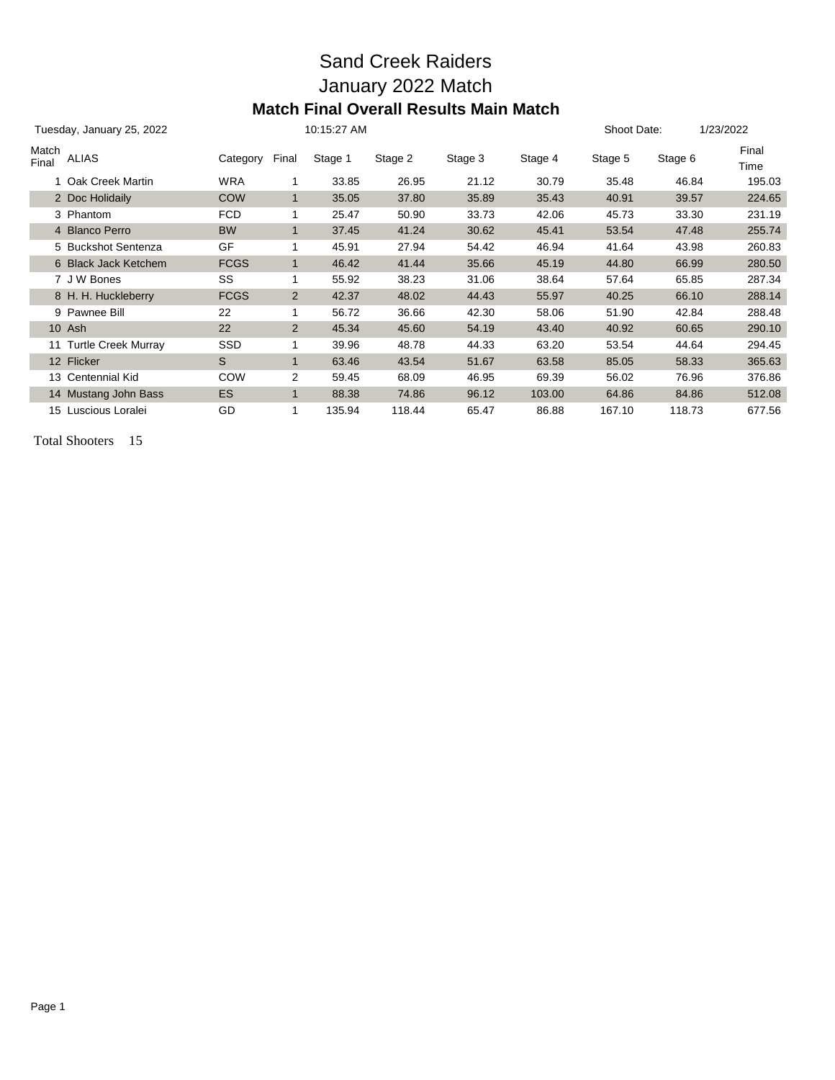## Sand Creek Raiders January 2022 Match **Match Final Overall Results Main Match**

| Tuesday, January 25, 2022 |                        |             |                | 10:15:27 AM |         |         |         | Shoot Date: |         | 1/23/2022     |
|---------------------------|------------------------|-------------|----------------|-------------|---------|---------|---------|-------------|---------|---------------|
| Match<br>Final            | <b>ALIAS</b>           | Category    | Final          | Stage 1     | Stage 2 | Stage 3 | Stage 4 | Stage 5     | Stage 6 | Final<br>Time |
|                           | 1 Oak Creek Martin     | <b>WRA</b>  |                | 33.85       | 26.95   | 21.12   | 30.79   | 35.48       | 46.84   | 195.03        |
|                           | 2 Doc Holidaily        | <b>COW</b>  | $\mathbf{1}$   | 35.05       | 37.80   | 35.89   | 35.43   | 40.91       | 39.57   | 224.65        |
|                           | 3 Phantom              | <b>FCD</b>  | 1              | 25.47       | 50.90   | 33.73   | 42.06   | 45.73       | 33.30   | 231.19        |
|                           | 4 Blanco Perro         | <b>BW</b>   | $\mathbf{1}$   | 37.45       | 41.24   | 30.62   | 45.41   | 53.54       | 47.48   | 255.74        |
|                           | 5 Buckshot Sentenza    | GF          |                | 45.91       | 27.94   | 54.42   | 46.94   | 41.64       | 43.98   | 260.83        |
|                           | 6 Black Jack Ketchem   | <b>FCGS</b> | $\mathbf{1}$   | 46.42       | 41.44   | 35.66   | 45.19   | 44.80       | 66.99   | 280.50        |
|                           | 7 J W Bones            | SS          | 1              | 55.92       | 38.23   | 31.06   | 38.64   | 57.64       | 65.85   | 287.34        |
|                           | 8 H. H. Huckleberry    | <b>FCGS</b> | 2              | 42.37       | 48.02   | 44.43   | 55.97   | 40.25       | 66.10   | 288.14        |
|                           | 9 Pawnee Bill          | 22          |                | 56.72       | 36.66   | 42.30   | 58.06   | 51.90       | 42.84   | 288.48        |
|                           | 10 Ash                 | 22          | $\overline{2}$ | 45.34       | 45.60   | 54.19   | 43.40   | 40.92       | 60.65   | 290.10        |
|                           | 11 Turtle Creek Murray | <b>SSD</b>  | 1              | 39.96       | 48.78   | 44.33   | 63.20   | 53.54       | 44.64   | 294.45        |
|                           | 12 Flicker             | S           | $\mathbf{1}$   | 63.46       | 43.54   | 51.67   | 63.58   | 85.05       | 58.33   | 365.63        |
|                           | 13 Centennial Kid      | COW         | 2              | 59.45       | 68.09   | 46.95   | 69.39   | 56.02       | 76.96   | 376.86        |
|                           | 14 Mustang John Bass   | <b>ES</b>   | $\mathbf{1}$   | 88.38       | 74.86   | 96.12   | 103.00  | 64.86       | 84.86   | 512.08        |
|                           | 15 Luscious Loralei    | GD          |                | 135.94      | 118.44  | 65.47   | 86.88   | 167.10      | 118.73  | 677.56        |

Total Shooters 15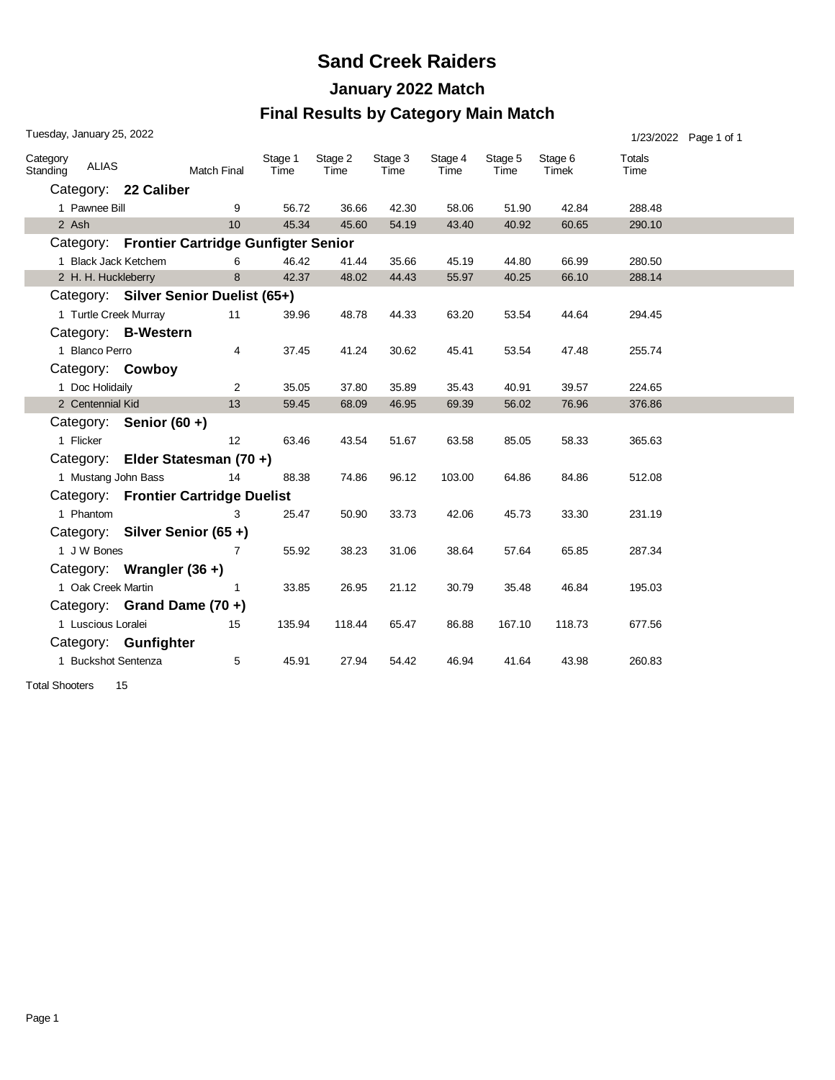### **Sand Creek Raiders**

# **January 2022 Match**

#### **Final Results by Category Main Match**

| Tuesday, January 25, 2022<br>1/23/2022 Page 1 of 1 |                       |                           |                                               |                 |                 |                 |                 |                 |                  |                |  |
|----------------------------------------------------|-----------------------|---------------------------|-----------------------------------------------|-----------------|-----------------|-----------------|-----------------|-----------------|------------------|----------------|--|
| Category<br>Standing                               | <b>ALIAS</b>          |                           | <b>Match Final</b>                            | Stage 1<br>Time | Stage 2<br>Time | Stage 3<br>Time | Stage 4<br>Time | Stage 5<br>Time | Stage 6<br>Timek | Totals<br>Time |  |
|                                                    |                       | Category: 22 Caliber      |                                               |                 |                 |                 |                 |                 |                  |                |  |
|                                                    | 1 Pawnee Bill         |                           | 9                                             | 56.72           | 36.66           | 42.30           | 58.06           | 51.90           | 42.84            | 288.48         |  |
|                                                    | 2 Ash                 |                           | 10 <sup>1</sup>                               | 45.34           | 45.60           | 54.19           | 43.40           | 40.92           | 60.65            | 290.10         |  |
|                                                    |                       |                           | Category: Frontier Cartridge Gunfigter Senior |                 |                 |                 |                 |                 |                  |                |  |
|                                                    | 1 Black Jack Ketchem  |                           | 6                                             | 46.42           | 41.44           | 35.66           | 45.19           | 44.80           | 66.99            | 280.50         |  |
|                                                    | 2 H. H. Huckleberry   |                           | 8                                             | 42.37           | 48.02           | 44.43           | 55.97           | 40.25           | 66.10            | 288.14         |  |
|                                                    |                       |                           | Category: Silver Senior Duelist (65+)         |                 |                 |                 |                 |                 |                  |                |  |
|                                                    | 1 Turtle Creek Murray |                           | 11                                            | 39.96           | 48.78           | 44.33           | 63.20           | 53.54           | 44.64            | 294.45         |  |
|                                                    |                       | Category: B-Western       |                                               |                 |                 |                 |                 |                 |                  |                |  |
|                                                    | 1 Blanco Perro        |                           | 4                                             | 37.45           | 41.24           | 30.62           | 45.41           | 53.54           | 47.48            | 255.74         |  |
|                                                    |                       | Category: Cowboy          |                                               |                 |                 |                 |                 |                 |                  |                |  |
|                                                    | 1 Doc Holidaily       |                           | 2                                             | 35.05           | 37.80           | 35.89           | 35.43           | 40.91           | 39.57            | 224.65         |  |
|                                                    | 2 Centennial Kid      |                           | 13                                            | 59.45           | 68.09           | 46.95           | 69.39           | 56.02           | 76.96            | 376.86         |  |
|                                                    |                       | Category: Senior (60 +)   |                                               |                 |                 |                 |                 |                 |                  |                |  |
|                                                    | 1 Flicker             |                           | 12                                            | 63.46           | 43.54           | 51.67           | 63.58           | 85.05           | 58.33            | 365.63         |  |
|                                                    |                       |                           | Category: Elder Statesman (70+)               |                 |                 |                 |                 |                 |                  |                |  |
|                                                    | 1 Mustang John Bass   |                           | 14                                            | 88.38           | 74.86           | 96.12           | 103.00          | 64.86           | 84.86            | 512.08         |  |
|                                                    |                       |                           | Category: Frontier Cartridge Duelist          |                 |                 |                 |                 |                 |                  |                |  |
|                                                    | 1 Phantom             |                           | 3                                             | 25.47           | 50.90           | 33.73           | 42.06           | 45.73           | 33.30            | 231.19         |  |
|                                                    |                       |                           | Category: Silver Senior (65+)                 |                 |                 |                 |                 |                 |                  |                |  |
|                                                    | 1 J W Bones           |                           | 7                                             | 55.92           | 38.23           | 31.06           | 38.64           | 57.64           | 65.85            | 287.34         |  |
|                                                    |                       | Category: Wrangler (36 +) |                                               |                 |                 |                 |                 |                 |                  |                |  |
|                                                    | 1 Oak Creek Martin    |                           | 1                                             | 33.85           | 26.95           | 21.12           | 30.79           | 35.48           | 46.84            | 195.03         |  |
|                                                    |                       |                           | Category: Grand Dame (70 +)                   |                 |                 |                 |                 |                 |                  |                |  |
|                                                    | 1 Luscious Loralei    |                           | 15                                            | 135.94          | 118.44          | 65.47           | 86.88           | 167.10          | 118.73           | 677.56         |  |
|                                                    |                       | Category: Gunfighter      |                                               |                 |                 |                 |                 |                 |                  |                |  |
|                                                    | 1 Buckshot Sentenza   |                           | 5                                             | 45.91           | 27.94           | 54.42           | 46.94           | 41.64           | 43.98            | 260.83         |  |

Total Shooters 15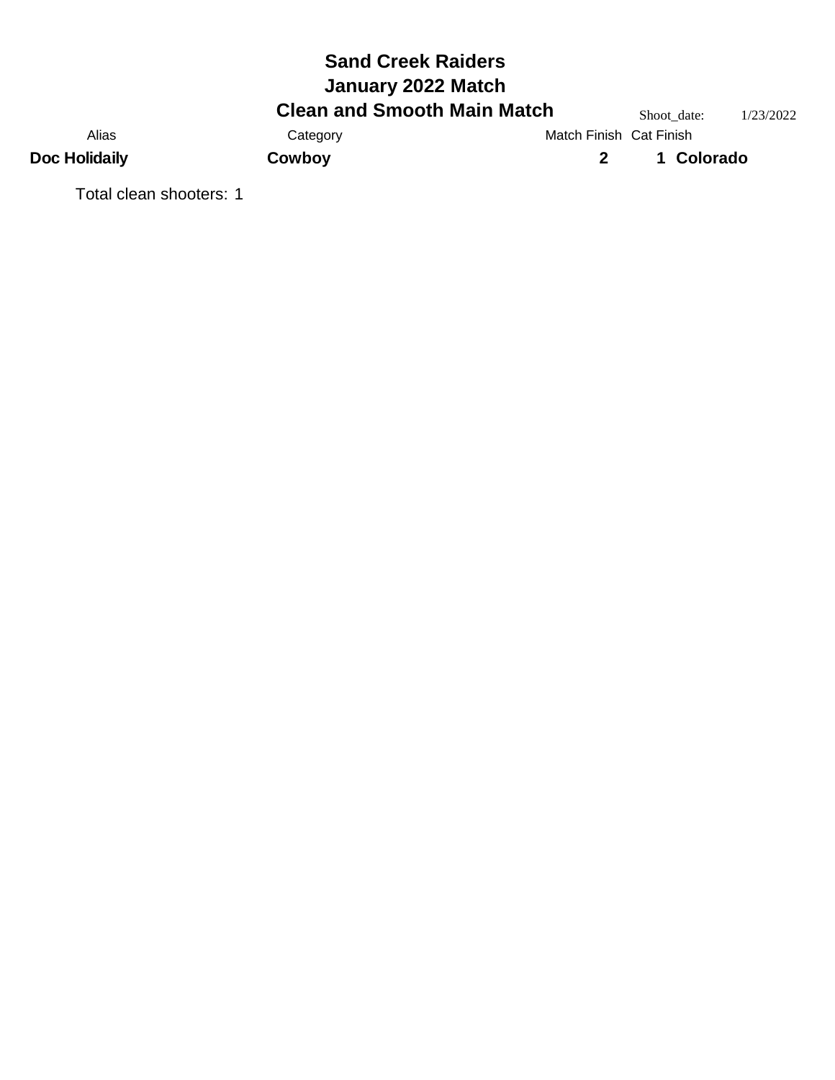# **Sand Creek Raiders Clean and Smooth Main Match** Shoot\_date: 1/23/2022<br>Category Match Finish Cat Finish **January 2022 Match** Alias Category Category Match Finish Cat Finish **Doc Holidaily Cowboy 2 1 Colorado**

Total clean shooters: 1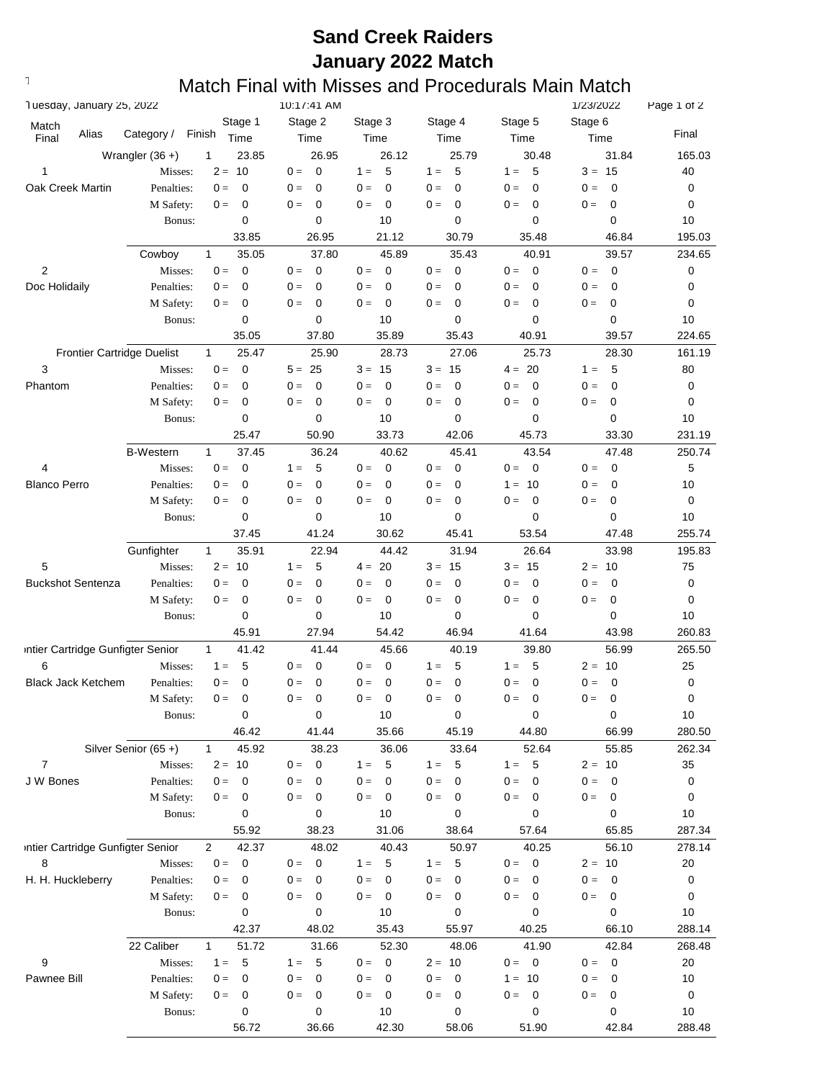# **Sand Creek Raiders January 2022 Match**

#### $T$  are  $M$  Match Final with Misses and Procedurals Main Match

| Tuesday, January 25, 2022         |                                   |                         | 10:17:41 AM                      |                                  |                      |                                  | 1/23/2022                         | Page 1 of 2 |
|-----------------------------------|-----------------------------------|-------------------------|----------------------------------|----------------------------------|----------------------|----------------------------------|-----------------------------------|-------------|
| Match                             |                                   | Stage 1                 | Stage 2                          | Stage 3                          | Stage 4              | Stage 5                          | Stage 6                           |             |
| Alias<br>Final                    | Category /                        | Finish<br>Time          | Time                             | Time                             | Time                 | Time                             | Time                              | Final       |
|                                   | Wrangler $(36 +)$                 | 1<br>23.85              | 26.95                            | 26.12                            | 25.79                | 30.48                            | 31.84                             | 165.03      |
| 1                                 | Misses:                           | $2 = 10$                | $\mathbf 0$<br>$0 =$             | 5<br>$1 =$                       | 5<br>$1 =$           | 5<br>$1 =$                       | $3 = 15$                          | 40          |
| Oak Creek Martin                  | Penalties:                        | $0 =$<br>0              | $0 =$<br>$\mathbf 0$             | 0<br>$0 =$                       | $0 =$<br>0           | $\mathbf 0$<br>$0 =$             | $\mathbf 0$<br>$0 =$              | 0           |
|                                   | M Safety:                         | 0<br>$0 =$              | 0<br>$0 =$                       | $\mathbf 0$<br>$0 =$             | $0 =$<br>0           | 0<br>$0 =$                       | 0<br>$0 =$                        | 0           |
|                                   | Bonus:                            | 0                       | $\mathbf 0$                      | 10                               | 0                    | 0                                | 0                                 | 10          |
|                                   |                                   | 33.85                   | 26.95                            | 21.12                            | 30.79                | 35.48                            | 46.84                             | 195.03      |
|                                   | Cowboy                            | 35.05<br>$\mathbf{1}$   | 37.80                            | 45.89                            | 35.43                | 40.91                            | 39.57                             | 234.65      |
| $\overline{c}$                    | Misses:                           | $\mathbf 0$<br>$0 =$    | $0 =$<br>$\mathbf 0$             | $\overline{\mathbf{0}}$<br>$0 =$ | $0 =$<br>$\mathbf 0$ | $0 =$<br>$\mathbf 0$             | $0 =$<br>$\overline{\mathbf{0}}$  | 0           |
| Doc Holidaily                     | Penalties:                        | 0<br>$0 =$              | 0<br>$0 =$                       | $\mathbf 0$<br>$0 =$             | $0 =$<br>0           | $\mathbf 0$<br>$0 =$             | 0<br>$0 =$                        | 0           |
|                                   | M Safety:                         | 0<br>$0 =$              | 0<br>$0 =$                       | $\overline{0}$<br>$0 =$          | 0<br>$0 =$           | $\mathbf 0$<br>$0 =$             | 0<br>$0 =$                        | 0           |
|                                   | Bonus:                            | 0                       | 0                                | 10                               | $\mathbf 0$          | 0                                | 0                                 | 10          |
|                                   |                                   | 35.05                   | 37.80                            | 35.89                            | 35.43                | 40.91                            | 39.57                             | 224.65      |
|                                   | <b>Frontier Cartridge Duelist</b> | 25.47<br>$\mathbf{1}$   | 25.90                            | 28.73                            | 27.06                | 25.73                            | 28.30                             | 161.19      |
| 3                                 | Misses:                           | $\mathbf 0$<br>$0 =$    | $5 = 25$                         | $3 = 15$                         | $3 = 15$             | $4 = 20$                         | -5<br>$1 =$                       | 80          |
| Phantom                           | Penalties:                        | 0<br>$0 =$              | $0 =$<br>0                       | $\overline{0}$<br>$0 =$          | $0 =$<br>0           | 0<br>$0 =$                       | 0<br>$0 =$                        | 0           |
|                                   | M Safety:                         | 0<br>$0 =$              | 0<br>$0 =$                       | $\overline{0}$<br>$0 =$          | $0 =$<br>0           | $\mathbf 0$<br>$0 =$             | 0<br>$0 =$                        | 0           |
|                                   | Bonus:                            | 0                       | 0                                | 10                               | 0                    | 0                                | 0                                 | 10          |
|                                   |                                   | 25.47                   | 50.90                            | 33.73                            | 42.06                | 45.73                            | 33.30                             | 231.19      |
|                                   | <b>B-Western</b>                  | $\mathbf{1}$<br>37.45   | 36.24                            | 40.62                            | 45.41                | 43.54                            | 47.48                             | 250.74      |
| 4                                 | Misses:                           | $\mathbf 0$<br>$0 =$    | 5<br>$1 =$                       | $0 =$<br>$\mathbf 0$             | $0 =$<br>0           | $\mathbf 0$<br>$0 =$             | $\overline{0}$<br>$0 =$           | 5           |
| <b>Blanco Perro</b>               | Penalties:                        | $0 =$<br>0              | $0 =$<br>0                       | $\mathbf 0$<br>$0 =$             | $0 =$<br>0           | 10<br>$1 =$                      | 0<br>$0 =$                        | 10          |
|                                   | M Safety:                         | 0<br>$0 =$              | $0 =$<br>0                       | $\overline{0}$<br>$0 =$          | $0 =$<br>0           | $0 =$<br>$\mathbf 0$             | 0<br>$0 =$                        | 0           |
|                                   | Bonus:                            | 0                       | $\mathbf 0$                      | 10                               | 0                    | 0                                | 0                                 | 10          |
|                                   |                                   | 37.45                   | 41.24                            | 30.62                            | 45.41                | 53.54                            | 47.48                             | 255.74      |
|                                   | Gunfighter                        | 35.91<br>$\mathbf{1}$   | 22.94                            | 44.42                            | 31.94                | 26.64                            | 33.98                             | 195.83      |
| 5                                 | Misses:                           | $2 =$<br>-10            | 5<br>$1 =$                       | $4 = 20$                         | $3 = 15$             | $3 =$<br>15                      | $2 = 10$                          | 75          |
| <b>Buckshot Sentenza</b>          | Penalties:                        | $0 =$<br>0              | $\mathbf 0$<br>$0 =$             | $\mathbf 0$<br>$0 =$             | 0<br>$0 =$           | $0 =$<br>0                       | $\mathbf 0$<br>$0 =$              | 0           |
|                                   | M Safety:                         | 0<br>$0 =$              | $0 =$<br>0                       | $\overline{0}$<br>$0 =$          | 0<br>$0 =$           | $0 =$<br>0                       | 0<br>$0 =$                        | 0           |
|                                   | Bonus:                            | 0                       | 0                                | 10                               | 0                    | 0                                | 0                                 | 10          |
|                                   |                                   | 45.91                   | 27.94                            | 54.42                            | 46.94                | 41.64                            | 43.98                             | 260.83      |
| intier Cartridge Gunfigter Senior |                                   | $\mathbf{1}$<br>41.42   | 41.44                            | 45.66                            | 40.19                | 39.80                            | 56.99                             | 265.50      |
| 6                                 | Misses:                           | 5<br>$1 =$              | $0 =$<br>0                       | $\mathbf 0$<br>$0 =$             | $1 =$<br>5           | 5<br>$1 =$                       | $2 = 10$                          | 25          |
| <b>Black Jack Ketchem</b>         | Penalties:                        | $0 =$<br>0              | $\mathbf 0$<br>$0 =$             | 0<br>$0 =$                       | 0<br>$0 =$           | $\mathbf 0$<br>$0 =$             | $\mathbf 0$<br>$0 =$              | 0           |
|                                   | M Safety:                         | $0 =$<br>0              | 0<br>$0 =$                       | 0<br>$0 =$                       | $0 =$<br>0           | $0 =$<br>0                       | $0 =$<br>0                        | 0           |
|                                   | Bonus:                            | 0                       | 0                                | 10                               | 0                    | 0                                | $\pmb{0}$                         | 10          |
|                                   |                                   | 46.42                   | 41.44                            | 35.66                            | 45.19                | 44.80                            | 66.99                             | 280.50      |
|                                   | Silver Senior (65+)               | 45.92<br>$\mathbf{1}$   | 38.23                            | 36.06                            | 33.64                | 52.64                            | 55.85                             | 262.34      |
| $\overline{7}$                    | Misses:                           | $2 = 10$                | $\mathbf 0$<br>$0 =$             | 5<br>$1 =$                       | $1 =$<br>5           | $\sqrt{5}$<br>$1 =$              | $2 = 10$                          | 35          |
| J W Bones                         | Penalties:                        | $0 =$<br>0              | $0 =$<br>$\mathbf 0$             | $0 =$<br>$\mathbf 0$             | $0 =$<br>$\mathbf 0$ | $0 =$<br>0                       | $0 =$<br>$\overline{\mathbf{0}}$  | 0           |
|                                   | M Safety:                         | $0 =$<br>0              | $0 =$<br>$\overline{\mathbf{0}}$ | $0 =$<br>$\overline{\mathbf{0}}$ | $0 =$<br>0           | $0 =$<br>$\mathbf 0$             | $0 =$<br>$\overline{0}$           | 0           |
|                                   | Bonus:                            | 0                       | 0                                | 10                               | 0                    | 0                                | 0                                 | $10$        |
|                                   |                                   | 55.92                   | 38.23                            | 31.06                            | 38.64                | 57.64                            | 65.85                             | 287.34      |
| intier Cartridge Gunfigter Senior |                                   | $\overline{2}$<br>42.37 | 48.02                            | 40.43                            | 50.97                | 40.25                            | 56.10                             | 278.14      |
| 8                                 | Misses:                           | $0 =$<br>$\overline{0}$ | $0 =$<br>$\mathbf 0$             | $-5$<br>$1 =$                    | $1 =$<br>5           | $\overline{\mathbf{0}}$<br>$0 =$ | $2 = 10$                          | 20          |
| H. H. Huckleberry                 | Penalties:                        | $0 =$<br>0              | $0 =$<br>$\mathbf 0$             | $\overline{\mathbf{0}}$<br>$0 =$ | $0 =$<br>0           | $0 =$<br>$\mathbf 0$             | $0 =$<br>$\overline{\phantom{0}}$ | 0           |
|                                   | M Safety:                         | $0 =$<br>0              | $0 =$<br>$\overline{\mathbf{0}}$ | $0 = 0$                          | $0 =$<br>$\mathbf 0$ | $0 =$<br>$\mathbf 0$             | $0 =$<br>$\overline{\mathbf{0}}$  | 0           |
|                                   | Bonus:                            | 0                       | 0                                | 10                               | 0                    | 0                                | $\mathbf 0$                       | 10          |
|                                   |                                   | 42.37                   | 48.02                            | 35.43                            | 55.97                | 40.25                            | 66.10                             | 288.14      |
|                                   | 22 Caliber                        | 51.72<br>$\mathbf{1}$   | 31.66                            | 52.30                            | 48.06                | 41.90                            | 42.84                             | 268.48      |
| 9                                 | Misses:                           | 5<br>$1 =$              | 5<br>$1 =$                       | $0 = 0$                          | $2 = 10$             | $0 = 0$                          | $0 = 0$                           | 20          |
| Pawnee Bill                       | Penalties:                        | $0 =$<br>0              | $\mathbf{0} =$<br>$\mathbf 0$    | $0 =$<br>$\overline{0}$          | $0 =$<br>0           | $1 =$<br>10                      | $0 =$<br>$\overline{\mathbf{0}}$  | 10          |
|                                   | M Safety:                         | 0<br>$0 =$              | $0 =$<br>$\mathbf 0$             | $\overline{\mathbf{0}}$<br>$0 =$ | $0 =$<br>$\mathbf 0$ | $0 =$<br>$\overline{0}$          | $0 =$<br>$\overline{0}$           | 0           |
|                                   | Bonus:                            | 0                       | 0                                | 10                               | 0                    | 0                                | 0                                 | 10          |
|                                   |                                   | 56.72                   | 36.66                            | 42.30                            | 58.06                | 51.90                            | 42.84                             | 288.48      |
|                                   |                                   |                         |                                  |                                  |                      |                                  |                                   |             |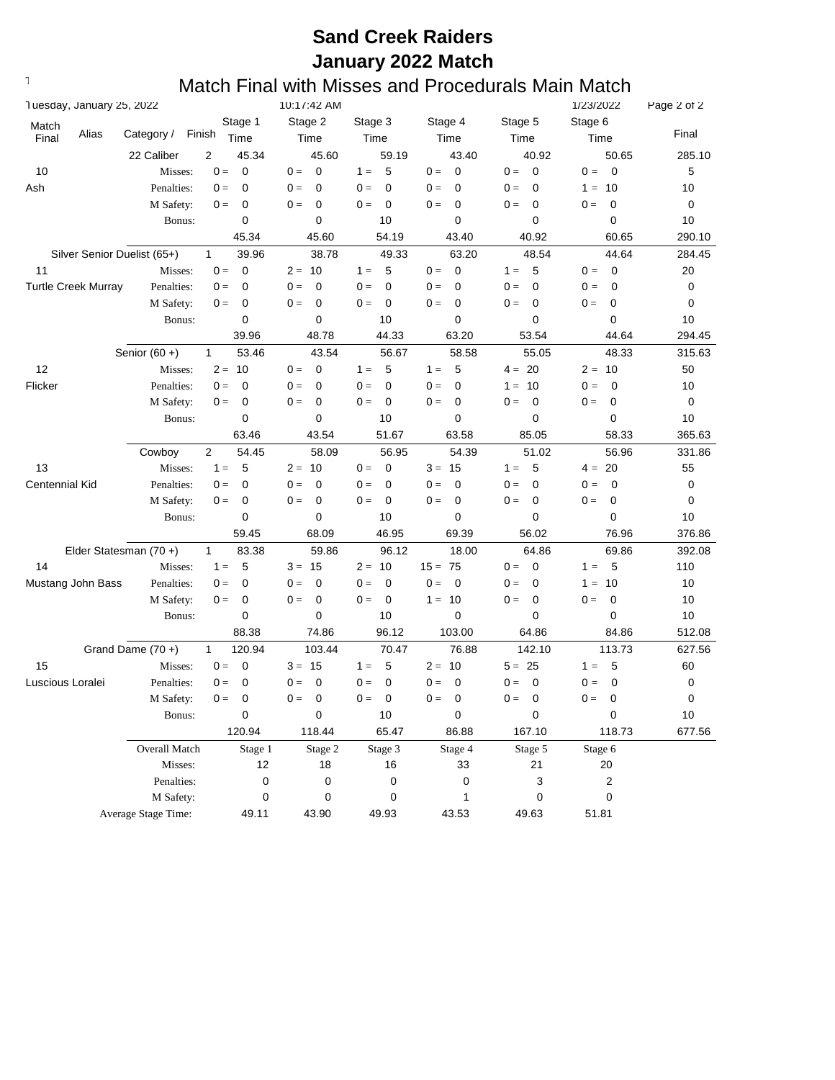# **Sand Creek Raiders January 2022 Match**

#### $T$  are  $M$  Match Final with Misses and Procedurals Main Match

| Tuesday, January 25, 2022 |                            |                             |                |           | 10:17:42 AM          |          |             |              |             |          | 1/23/2022   |         | Page 2 of 2 |        |
|---------------------------|----------------------------|-----------------------------|----------------|-----------|----------------------|----------|-------------|--------------|-------------|----------|-------------|---------|-------------|--------|
| Match                     |                            |                             |                | Stage 1   | Stage 2              | Stage 3  |             | Stage 4      |             | Stage 5  |             | Stage 6 |             |        |
| Final                     | Alias                      | Category /                  | Finish         | Time      | Time                 | Time     |             | Time         |             | Time     |             | Time    |             | Final  |
|                           |                            | 22 Caliber                  | $\overline{2}$ | 45.34     | 45.60                |          | 59.19       |              | 43.40       |          | 40.92       |         | 50.65       | 285.10 |
| 10                        |                            | Misses:                     | $0 =$          | 0         | $0 =$<br>$\mathbf 0$ | $1 =$    | 5           | $0 =$        | $\mathbf 0$ | $0 =$    | $\mathbf 0$ | $0 =$   | $\mathbf 0$ | 5      |
| Ash                       |                            | Penalties:                  | $0 =$          | 0         | $0 =$<br>0           | $0 =$    | $\mathbf 0$ | $0 =$        | $\mathbf 0$ | $0 =$    | $\mathbf 0$ | $1 =$   | 10          | 10     |
|                           |                            | M Safety:                   | $0 =$          | 0         | 0<br>$0 =$           | $0 =$    | 0           | $0 =$        | 0           | $0 =$    | 0           | $0 =$   | 0           | 0      |
|                           |                            | Bonus:                      |                | 0         | 0                    |          | 10          |              | 0           |          | 0           |         | 0           | 10     |
|                           |                            |                             |                | 45.34     | 45.60                |          | 54.19       |              | 43.40       |          | 40.92       |         | 60.65       | 290.10 |
|                           |                            | Silver Senior Duelist (65+) | $\mathbf{1}$   | 39.96     | 38.78                |          | 49.33       |              | 63.20       |          | 48.54       |         | 44.64       | 284.45 |
| 11                        |                            | Misses:                     | $0 =$          | 0         | $2 = 10$             | $1 =$    | 5           | $0 =$        | $\mathbf 0$ | $1 =$    | -5          | $0 =$   | $\mathbf 0$ | 20     |
|                           | <b>Turtle Creek Murray</b> | Penalties:                  | $0 =$          | 0         | 0<br>$0 =$           | $0 =$    | 0           | $0 =$        | $\mathbf 0$ | $0 =$    | 0           | $0 =$   | 0           | 0      |
|                           |                            | M Safety:                   | $0 =$          | 0         | 0<br>$0 =$           | $0 =$    | 0           | $0 =$        | 0           | $0 =$    | 0           | $0 =$   | 0           | 0      |
|                           |                            | Bonus:                      |                | 0         | $\mathbf 0$          |          | 10          |              | $\mathbf 0$ |          | 0           |         | $\mathbf 0$ | 10     |
|                           |                            |                             |                | 39.96     | 48.78                |          | 44.33       |              | 63.20       |          | 53.54       |         | 44.64       | 294.45 |
|                           |                            | Senior $(60 +)$             | $\mathbf{1}$   | 53.46     | 43.54                |          | 56.67       |              | 58.58       |          | 55.05       |         | 48.33       | 315.63 |
| 12                        |                            | Misses:                     | $2 =$          | -10       | 0<br>$0 =$           | $1 =$    | 5           | $1 =$        | 5           | $4 = 20$ |             | $2 =$   | 10          | 50     |
| Flicker                   |                            | Penalties:                  | $0 =$          | 0         | 0<br>$0 =$           | $0 =$    | 0           | $0 =$        | 0           | $1 =$    | 10          | $0 =$   | 0           | 10     |
|                           |                            | M Safety:                   | $0 =$          | 0         | 0<br>$0 =$           | $0 =$    | 0           | $0 =$        | 0           | $0 =$    | 0           | $0 =$   | 0           | 0      |
|                           |                            | Bonus:                      |                | 0         | $\mathbf 0$          |          | 10          |              | 0           |          | 0           |         | $\mathbf 0$ | 10     |
|                           |                            |                             |                | 63.46     | 43.54                |          | 51.67       |              | 63.58       |          | 85.05       |         | 58.33       | 365.63 |
|                           |                            | Cowboy                      | $\overline{2}$ | 54.45     | 58.09                |          | 56.95       |              | 54.39       |          | 51.02       |         | 56.96       | 331.86 |
| 13                        |                            | Misses:                     | $1 =$          | 5         | -10<br>$2 =$         | $0 =$    | 0           | $3 = 15$     |             | $1 =$    | 5           | $4 =$   | 20          | 55     |
| <b>Centennial Kid</b>     |                            | Penalties:                  | $0 =$          | 0         | $0 =$<br>0           | $0 =$    | 0           | $0 =$        | 0           | $0 =$    | 0           | $0 =$   | 0           | 0      |
|                           |                            | M Safety:                   | $0 =$          | 0         | 0<br>$0 =$           | $0 =$    | 0           | $0 =$        | 0           | $0 =$    | 0           | $0 =$   | 0           | 0      |
|                           |                            | Bonus:                      |                | 0         | 0                    |          | 10          |              | 0           |          | 0           |         | $\mathbf 0$ | 10     |
|                           |                            |                             |                | 59.45     | 68.09                |          | 46.95       |              | 69.39       |          | 56.02       |         | 76.96       | 376.86 |
|                           |                            | Elder Statesman (70+)       | $\mathbf{1}$   | 83.38     | 59.86                |          | 96.12       |              | 18.00       |          | 64.86       |         | 69.86       | 392.08 |
| 14                        |                            | Misses:                     | $1 =$          | 5         | $3 =$<br>15          | $2 = 10$ |             | $15 = 75$    |             | $0 =$    | $\mathbf 0$ | $1 =$   | 5           | 110    |
|                           | Mustang John Bass          | Penalties:                  | $0 =$          | 0         | 0<br>$0 =$           | $0 =$    | 0           | $0 =$        | 0           | $0 =$    | 0           | $1 =$   | 10          | 10     |
|                           |                            | M Safety:                   | $0 =$          | 0         | 0<br>$0 =$           | $0 =$    | 0           | $1 = 10$     |             | $0 =$    | 0           | $0 =$   | 0           | 10     |
|                           |                            | Bonus:                      |                | 0         | 0                    |          | 10          |              | 0           |          | 0           |         | $\mathbf 0$ | 10     |
|                           |                            |                             |                | 88.38     | 74.86                |          | 96.12       |              | 103.00      |          | 64.86       |         | 84.86       | 512.08 |
|                           |                            | Grand Dame $(70 +)$         | $\mathbf{1}$   | 120.94    | 103.44               |          | 70.47       |              | 76.88       |          | 142.10      |         | 113.73      | 627.56 |
| 15                        |                            | Misses:                     | $0 =$          | 0         | $3 =$<br>- 15        | $1 =$    | 5           | -10<br>$2 =$ |             | $5 = 25$ |             | $1 =$   | 5           | 60     |
| Luscious Loralei          |                            | Penalties:                  | $0 =$          | 0         | 0<br>$0 =$           | $0 =$    | 0           | $0 =$        | 0           | $0 =$    | 0           | $0 =$   | 0           | 0      |
|                           |                            | M Safety:                   | $0 =$          | 0         | 0<br>$0 =$           | $0 =$    | 0           | $0 =$        | 0           | $0 =$    | 0           | $0 =$   | 0           | 0      |
|                           |                            | Bonus:                      |                | 0         | $\mathbf 0$          |          | $10\,$      |              | $\pmb{0}$   |          | 0           |         | $\pmb{0}$   | $10\,$ |
|                           |                            |                             |                | 120.94    | 118.44               |          | 65.47       |              | 86.88       |          | 167.10      |         | 118.73      | 677.56 |
|                           |                            | Overall Match               |                | Stage 1   | Stage 2              |          | Stage 3     |              | Stage 4     |          | Stage 5     | Stage 6 |             |        |
|                           |                            | Misses:                     |                | 12        | 18                   |          | 16          |              | 33          |          | 21          |         | 20          |        |
|                           |                            | Penalties:                  |                | 0         |                      | 0        | 0           |              | 0           |          | 3           |         | 2           |        |
|                           |                            | M Safety:                   |                | $\pmb{0}$ |                      | 0        | 0           |              | 1           |          | 0           |         | 0           |        |
|                           |                            | Average Stage Time:         |                | 49.11     | 43.90                |          | 49.93       |              | 43.53       | 49.63    |             | 51.81   |             |        |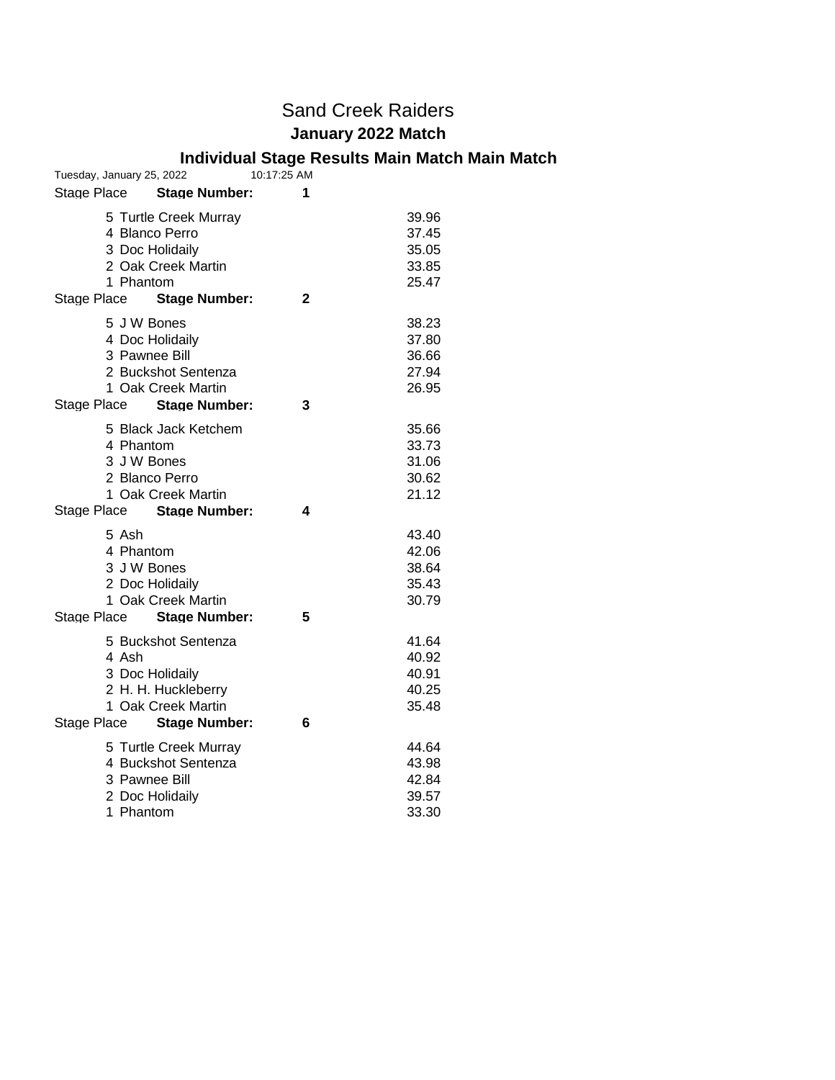## Sand Creek Raiders **January 2022 Match**

#### **Individual Stage Results Main Match Main Match**

| Tuesday, January 25, 2022                                                                                                           | 10:17:25 AM                                    |
|-------------------------------------------------------------------------------------------------------------------------------------|------------------------------------------------|
| Stage Place<br><b>Stage Number:</b>                                                                                                 | 1                                              |
| 5 Turtle Creek Murray<br>4 Blanco Perro<br>3 Doc Holidaily<br>2 Oak Creek Martin<br>1 Phantom                                       | 39.96<br>37.45<br>35.05<br>33.85<br>25.47      |
| <b>Stage Number:</b><br>Stage Place                                                                                                 | 2                                              |
| 5 J W Bones<br>4 Doc Holidaily<br>3 Pawnee Bill<br>2 Buckshot Sentenza<br>1 Oak Creek Martin<br>Stage Place<br><b>Stage Number:</b> | 38.23<br>37.80<br>36.66<br>27.94<br>26.95<br>3 |
| 5 Black Jack Ketchem                                                                                                                | 35.66                                          |
| 4 Phantom                                                                                                                           | 33.73                                          |
| 3 J W Bones                                                                                                                         | 31.06                                          |
| 2 Blanco Perro                                                                                                                      | 30.62                                          |
| 1 Oak Creek Martin                                                                                                                  | 21.12                                          |
| Stage Place<br><b>Stage Number:</b>                                                                                                 | 4                                              |
| 5 Ash                                                                                                                               | 43.40                                          |
| 4 Phantom<br>3 J W Bones                                                                                                            | 42.06<br>38.64                                 |
| 2 Doc Holidaily                                                                                                                     | 35.43                                          |
| 1 Oak Creek Martin                                                                                                                  | 30.79                                          |
| Stage Place Stage Number:                                                                                                           | 5                                              |
| 5 Buckshot Sentenza                                                                                                                 | 41.64                                          |
| 4 Ash                                                                                                                               | 40.92                                          |
| 3 Doc Holidaily                                                                                                                     | 40.91                                          |
| 2 H. H. Huckleberry                                                                                                                 | 40.25                                          |
| 1 Oak Creek Martin                                                                                                                  | 35.48                                          |
| <b>Stage Number:</b><br>Stage Place                                                                                                 | 6                                              |
| 5 Turtle Creek Murray                                                                                                               | 44.64                                          |
| 4 Buckshot Sentenza                                                                                                                 | 43.98                                          |
| 3 Pawnee Bill                                                                                                                       | 42.84                                          |
| 2 Doc Holidaily                                                                                                                     | 39.57                                          |
| 1 Phantom                                                                                                                           | 33.30                                          |